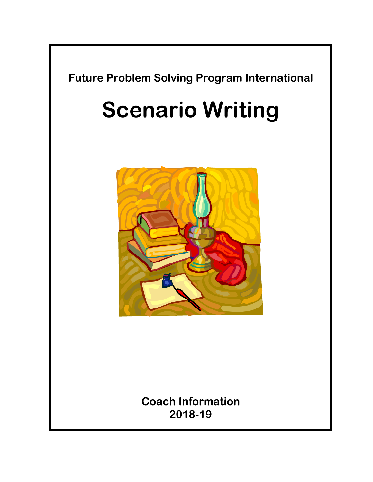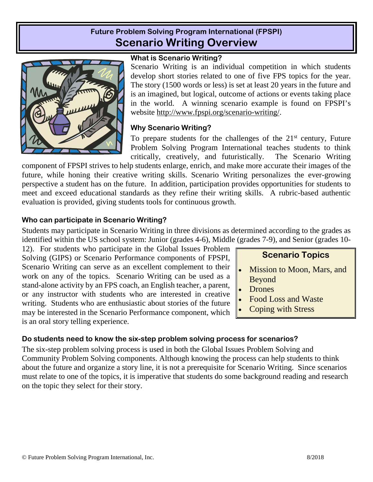# **Future Problem Solving Program International (FPSPI) Scenario Writing Overview**



### **What is Scenario Writing?**

Scenario Writing is an individual competition in which students develop short stories related to one of five FPS topics for the year. The story (1500 words or less) is set at least 20 years in the future and is an imagined, but logical, outcome of actions or events taking place in the world. A winning scenario example is found on FPSPI's website http://www.fpspi.org/scenario-writing/.

### **Why Scenario Writing?**

To prepare students for the challenges of the  $21<sup>st</sup>$  century, Future Problem Solving Program International teaches students to think critically, creatively, and futuristically. The Scenario Writing

component of FPSPI strives to help students enlarge, enrich, and make more accurate their images of the future, while honing their creative writing skills. Scenario Writing personalizes the ever-growing perspective a student has on the future. In addition, participation provides opportunities for students to meet and exceed educational standards as they refine their writing skills. A rubric-based authentic evaluation is provided, giving students tools for continuous growth.

### **Who can participate in Scenario Writing?**

Students may participate in Scenario Writing in three divisions as determined according to the grades as identified within the US school system: Junior (grades 4-6), Middle (grades 7-9), and Senior (grades 10-

12). For students who participate in the Global Issues Problem Solving (GIPS) or Scenario Performance components of FPSPI, Scenario Writing can serve as an excellent complement to their work on any of the topics. Scenario Writing can be used as a stand-alone activity by an FPS coach, an English teacher, a parent, or any instructor with students who are interested in creative writing. Students who are enthusiastic about stories of the future may be interested in the Scenario Performance component, which is an oral story telling experience.

# **Scenario Topics**

- Mission to Moon, Mars, and Beyond
- Drones
- Food Loss and Waste
- Coping with Stress

## **Do students need to know the six-step problem solving process for scenarios?**

The six-step problem solving process is used in both the Global Issues Problem Solving and Community Problem Solving components. Although knowing the process can help students to think about the future and organize a story line, it is not a prerequisite for Scenario Writing. Since scenarios must relate to one of the topics, it is imperative that students do some background reading and research on the topic they select for their story.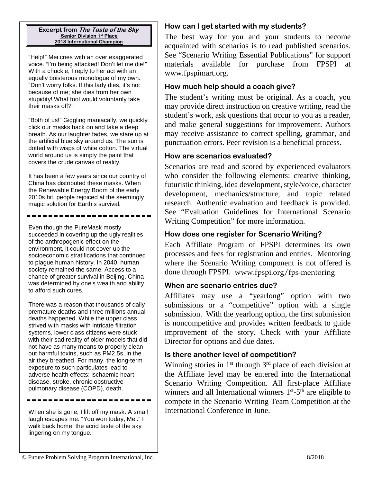**Excerpt from The Taste of the Sky Senior Division 1st Place 2018 International Champion**

"Help!" Mei cries with an over exaggerated voice. "I'm being attacked! Don't let me die!" With a chuckle, I reply to her act with an equally boisterous monologue of my own. "Don't worry folks. If this lady dies, it's not because of me; she dies from her own stupidity! What fool would voluntarily take their masks off?"

"Both of us!" Giggling maniacally, we quickly click our masks back on and take a deep breath. As our laughter fades, we stare up at the artificial blue sky around us. The sun is dotted with wisps of white cotton. The virtual world around us is simply the paint that covers the crude canvas of reality.

It has been a few years since our country of China has distributed these masks. When the Renewable Energy Boom of the early 2010s hit, people rejoiced at the seemingly magic solution for Earth's survival.

Even though the PureMask mostly succeeded in covering up the ugly realities of the anthropogenic effect on the environment, it could not cover up the socioeconomic stratifications that continued to plague human history. In 2040, human society remained the same. Access to a chance of greater survival in Beijing, China was determined by one's wealth and ability to afford such cures.

There was a reason that thousands of daily premature deaths and three millions annual deaths happened. While the upper class strived with masks with intricate filtration systems, lower class citizens were stuck with their sad reality of older models that did not have as many means to properly clean out harmful toxins, such as PM2.5s, in the air they breathed. For many, the long-term exposure to such particulates lead to adverse health effects: ischaemic heart disease, stroke, chronic obstructive pulmonary disease (COPD), death.

When she is gone, I lift off my mask. A small laugh escapes me. "You won today, Mei." I walk back home, the acrid taste of the sky lingering on my tongue.

## **How can I get started with my students?**

The best way for you and your students to become acquainted with scenarios is to read published scenarios. See "Scenario Writing Essential Publications" for support materials available for purchase from FPSPI at www.fpspimart.org.

### **How much help should a coach give?**

The student's writing must be original. As a coach, you may provide direct instruction on creative writing, read the student's work, ask questions that occur to you as a reader, and make general suggestions for improvement. Authors may receive assistance to correct spelling, grammar, and punctuation errors. Peer revision is a beneficial process.

### **How are scenarios evaluated?**

Scenarios are read and scored by experienced evaluators who consider the following elements: creative thinking, futuristic thinking, idea development, style/voice, character development, mechanics/structure, and topic related research. Authentic evaluation and feedback is provided. See "Evaluation Guidelines for International Scenario Writing Competition" for more information.

## **How does one register for Scenario Writing?**

Each Affiliate Program of FPSPI determines its own processes and fees for registration and entries. Mentoring where the Scenario Writing component is not offered is done through FPSPI. www.fpspi.org/fps-mentoring

## **When are scenario entries due?**

Affiliates may use a "yearlong" option with two submissions or a "competitive" option with a single submission. With the yearlong option, the first submission is noncompetitive and provides written feedback to guide improvement of the story. Check with your Affiliate Director for options and due dates.

### **Is there another level of competition?**

Winning stories in  $1<sup>st</sup>$  through  $3<sup>rd</sup>$  place of each division at the Affiliate level may be entered into the International Scenario Writing Competition. All first-place Affiliate winners and all International winners  $1<sup>st</sup> - 5<sup>th</sup>$  are eligible to compete in the Scenario Writing Team Competition at the International Conference in June.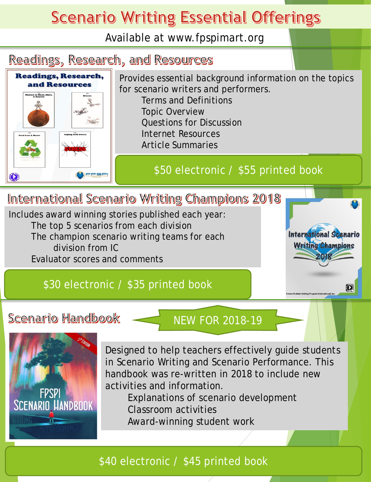# **Scenario Writing Essential Offerings**

Available at www.fpspimart.org



The champion scenario writing teams for each division from IC

Evaluator scores and comments

# \$30 electronic / \$35 printed book

# Scenario Handbook

# NEW FOR 2018-19

International Scenario **Writing Champions** 

睽



Designed to help teachers effectively guide students in Scenario Writing and Scenario Performance. This handbook was re-written in 2018 to include new activities and information.

Explanations of scenario development Classroom activities Award-winning student work

# \$40 electronic / \$45 printed book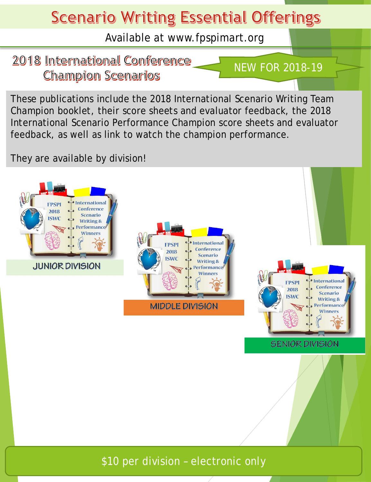# **Scenario Writing Essential Offerings**

Available at www.fpspimart.org

# 2018 International Conference **Champion Scenarios**

NEW FOR 2018-19

These publications include the 2018 International Scenario Writing Team Champion booklet, their score sheets and evaluator feedback, the 2018 International Scenario Performance Champion score sheets and evaluator feedback, as well as link to watch the champion performance.

They are available by division!



\$10 per division – electronic only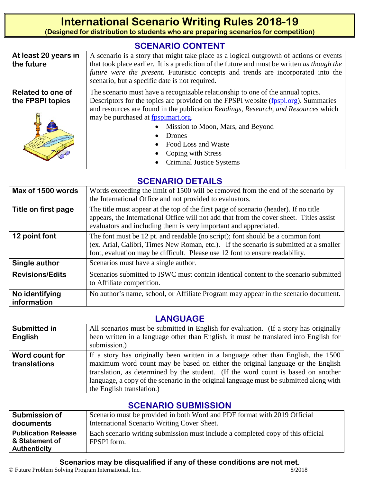# **International Scenario Writing Rules 2018-19**

**(Designed for distribution to students who are preparing scenarios for competition)**

# **SCENARIO CONTENT**

| At least 20 years in<br>the future    | A scenario is a story that might take place as a logical outgrowth of actions or events<br>that took place earlier. It is a prediction of the future and must be written as though the<br>future were the present. Futuristic concepts and trends are incorporated into the<br>scenario, but a specific date is not required.                                                                                                            |  |  |  |
|---------------------------------------|------------------------------------------------------------------------------------------------------------------------------------------------------------------------------------------------------------------------------------------------------------------------------------------------------------------------------------------------------------------------------------------------------------------------------------------|--|--|--|
| Related to one of<br>the FPSPI topics | The scenario must have a recognizable relationship to one of the annual topics.<br>Descriptors for the topics are provided on the FPSPI website (fpspi.org). Summaries<br>and resources are found in the publication Readings, Research, and Resources which<br>may be purchased at fpspimart.org.<br>Mission to Moon, Mars, and Beyond<br><b>Drones</b><br>Food Loss and Waste<br>Coping with Stress<br><b>Criminal Justice Systems</b> |  |  |  |

# **SCENARIO DETAILS**

| Max of 1500 words             | Words exceeding the limit of 1500 will be removed from the end of the scenario by<br>the International Office and not provided to evaluators.                                                                                                            |  |  |  |  |
|-------------------------------|----------------------------------------------------------------------------------------------------------------------------------------------------------------------------------------------------------------------------------------------------------|--|--|--|--|
| Title on first page           | The title must appear at the top of the first page of scenario (header). If no title<br>appears, the International Office will not add that from the cover sheet. Titles assist<br>evaluators and including them is very important and appreciated.      |  |  |  |  |
| 12 point font                 | The font must be 12 pt. and readable (no script); font should be a common font<br>(ex. Arial, Calibri, Times New Roman, etc.). If the scenario is submitted at a smaller<br>font, evaluation may be difficult. Please use 12 font to ensure readability. |  |  |  |  |
| Single author                 | Scenarios must have a single author.                                                                                                                                                                                                                     |  |  |  |  |
| <b>Revisions/Edits</b>        | Scenarios submitted to ISWC must contain identical content to the scenario submitted<br>to Affiliate competition.                                                                                                                                        |  |  |  |  |
| No identifying<br>information | No author's name, school, or Affiliate Program may appear in the scenario document.                                                                                                                                                                      |  |  |  |  |

# **LANGUAGE**

| Submitted in                   | All scenarios must be submitted in English for evaluation. (If a story has originally                                                                                                                                                                                                                                                                                           |  |  |  |  |
|--------------------------------|---------------------------------------------------------------------------------------------------------------------------------------------------------------------------------------------------------------------------------------------------------------------------------------------------------------------------------------------------------------------------------|--|--|--|--|
| English                        | been written in a language other than English, it must be translated into English for                                                                                                                                                                                                                                                                                           |  |  |  |  |
|                                | submission.)                                                                                                                                                                                                                                                                                                                                                                    |  |  |  |  |
| Word count for<br>translations | If a story has originally been written in a language other than English, the 1500<br>maximum word count may be based on either the original language or the English<br>translation, as determined by the student. (If the word count is based on another<br>language, a copy of the scenario in the original language must be submitted along with<br>the English translation.) |  |  |  |  |

# **SCENARIO SUBMISSION**

| <b>Submission of</b>                                         | Scenario must be provided in both Word and PDF format with 2019 Official                       |
|--------------------------------------------------------------|------------------------------------------------------------------------------------------------|
| documents                                                    | International Scenario Writing Cover Sheet.                                                    |
| <b>Publication Release</b><br>& Statement of<br>Authenticity | Each scenario writing submission must include a completed copy of this official<br>FPSPI form. |

### **Scenarios may be disqualified if any of these conditions are not met.**

© Future Problem Solving Program International, Inc. 8/2018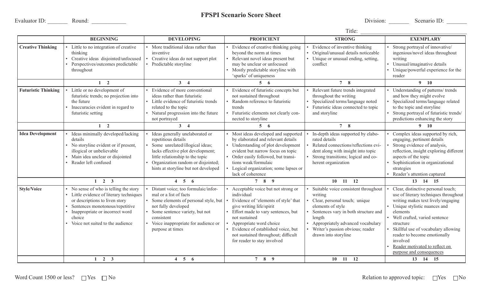Evaluator ID: Round: Research School School School School School Division: Network School Division: Network School Division: Network School Division: Network School Division: Network School Division: Network School Divisio

# **FPSPI Scenario Score Sheet**

#### Title:

|                            | <b>BEGINNING</b>                                                                                                                                                                                                                       | <b>DEVELOPING</b>                                                                                                                                                                                                                                | <b>PROFICIENT</b>                                                                                                                                                                                                                                                                                                  | <b>STRONG</b>                                                                                                                                                                                                                                              | <b>EXEMPLARY</b>                                                                                                                                                                                                                                                                                                                                             |
|----------------------------|----------------------------------------------------------------------------------------------------------------------------------------------------------------------------------------------------------------------------------------|--------------------------------------------------------------------------------------------------------------------------------------------------------------------------------------------------------------------------------------------------|--------------------------------------------------------------------------------------------------------------------------------------------------------------------------------------------------------------------------------------------------------------------------------------------------------------------|------------------------------------------------------------------------------------------------------------------------------------------------------------------------------------------------------------------------------------------------------------|--------------------------------------------------------------------------------------------------------------------------------------------------------------------------------------------------------------------------------------------------------------------------------------------------------------------------------------------------------------|
| <b>Creative Thinking</b>   | Little to no integration of creative<br>thinking<br>Creative ideas disjointed/unfocused<br>Perspectives/outcomes predictable<br>throughout                                                                                             | More traditional ideas rather than<br>inventive<br>Creative ideas do not support plot<br>Predictable storyline                                                                                                                                   | Evidence of creative thinking going<br>beyond the norm at times<br>Relevant novel ideas present but<br>may be unclear or unfocused<br>Mostly predictable storyline with<br>'sparks' of uniqueness                                                                                                                  | Evidence of inventive thinking<br>Original/unusual details noticeable<br>• Unique or unusual ending, setting,<br>conflict                                                                                                                                  | Strong portrayal of innovative/<br>ingenious/novel ideas throughout<br>writing<br>Unusual/imaginative details<br>Unique/powerful experience for the<br>reader                                                                                                                                                                                                |
|                            | $1\quad 2$                                                                                                                                                                                                                             | $3 \quad 4$                                                                                                                                                                                                                                      | $5\quad 6$                                                                                                                                                                                                                                                                                                         | 7 <sup>8</sup>                                                                                                                                                                                                                                             | $9$ 10                                                                                                                                                                                                                                                                                                                                                       |
| <b>Futuristic Thinking</b> | Little or no development of<br>futuristic trends; no projection into<br>the future<br>Inaccuracies evident in regard to<br>futuristic setting                                                                                          | Evidence of more conventional<br>ideas rather than futuristic<br>Little evidence of futuristic trends<br>related to the topic<br>Natural progression into the future<br>not portrayed                                                            | Evidence of futuristic concepts but<br>not sustained throughout<br>Random reference to futuristic<br>trends<br>Futuristic elements not clearly con-<br>nected to storyline                                                                                                                                         | Relevant future trends integrated<br>throughout the writing<br>Specialized terms/language noted<br>• Futuristic ideas connected to topic<br>and storyline                                                                                                  | Understanding of patterns/ trends<br>and how they might evolve<br>Specialized terms/language related<br>to the topic and storyline<br>Strong portrayal of futuristic trends/<br>predictions enhancing the story                                                                                                                                              |
|                            | $1\quad 2$                                                                                                                                                                                                                             | $3 \quad 4$                                                                                                                                                                                                                                      | $5\quad 6$                                                                                                                                                                                                                                                                                                         | 78                                                                                                                                                                                                                                                         | $9-10$                                                                                                                                                                                                                                                                                                                                                       |
| <b>Idea Development</b>    | Ideas minimally developed/lacking<br>details<br>No storyline evident or if present,<br>illogical or unbelievable<br>Main idea unclear or disjointed<br>Reader left confused                                                            | Ideas generally unelaborated or<br>repetitious details<br>Some unrelated/illogical ideas;<br>lacks effective plot development;<br>little relationship to the topic<br>Organization random or disjointed;<br>hints at storyline but not developed | • Most ideas developed and supported<br>by elaborated and relevant details<br>• Understanding of plot development<br>evident but narrow focus on topic<br>Order easily followed, but transi-<br>tions weak/formulaic<br>Logical organization; some lapses or<br>lack of coherence                                  | In-depth ideas supported by elabo-<br>rated details<br>Related connections/reflections evi-<br>dent along with insight into topic<br>Strong transitions; logical and co-<br>herent organization                                                            | Complex ideas supported by rich,<br>engaging, pertinent details<br>Strong evidence of analysis,<br>reflection, insight exploring different<br>aspects of the topic<br>Sophistication in organizational<br>strategies<br>Reader's attention captured                                                                                                          |
|                            | $1 \quad 2 \quad 3$                                                                                                                                                                                                                    | $4\quad 5\quad 6$                                                                                                                                                                                                                                | 7 8 9                                                                                                                                                                                                                                                                                                              | $10$ 11 12                                                                                                                                                                                                                                                 | 13 14 15                                                                                                                                                                                                                                                                                                                                                     |
| <b>Style/Voice</b>         | No sense of who is telling the story<br>• Little evidence of literary techniques<br>or descriptions to liven story<br>Sentences monotonous/repetitive<br>Inappropriate or incorrect word<br>choice<br>Voice not suited to the audience | Distant voice; too formulaic/infor-<br>mal or a list of facts<br>Some elements of personal style, but<br>not fully developed<br>Some sentence variety, but not<br>consistent<br>Voice inappropriate for audience or<br>purpose at times          | Acceptable voice but not strong or<br>individual<br>Evidence of 'elements of style' that<br>give writing life/spirit<br>Effort made to vary sentences, but<br>not sustained<br>Appropriate word choice<br>Evidence of established voice, but<br>not sustained throughout; difficult<br>for reader to stay involved | Suitable voice consistent throughout<br>writing<br>Clear, personal touch; unique<br>elements of style<br>Sentences vary in both structure and<br>length<br>• Appropriately advanced vocabulary<br>Writer's passion obvious; reader<br>drawn into storyline | Clear, distinctive personal touch;<br>use of literary techniques throughout<br>writing makes text lively/engaging<br>Unique stylistic nuances and<br>elements<br>Well crafted, varied sentence<br>structure<br>Skillful use of vocabulary allowing<br>reader to become emotionally<br>involved<br>Reader motivated to reflect on<br>purpose and consequences |
|                            | $1 \quad 2 \quad 3$                                                                                                                                                                                                                    | $4\quad 5\quad 6$                                                                                                                                                                                                                                | 7 8 9                                                                                                                                                                                                                                                                                                              | $10 \quad 11 \quad 12$                                                                                                                                                                                                                                     | 13 14 15                                                                                                                                                                                                                                                                                                                                                     |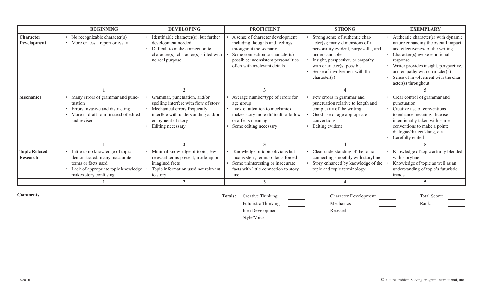|                                  | <b>BEGINNING</b>                                                                                                                                        | <b>DEVELOPING</b>                                                                                                                                                                       | <b>PROFICIENT</b>                                                                                                                                                                                          | <b>STRONG</b>                                                                                                                                                                                                                                    | <b>EXEMPLARY</b>                                                                                                                                                                                                                                                                                     |
|----------------------------------|---------------------------------------------------------------------------------------------------------------------------------------------------------|-----------------------------------------------------------------------------------------------------------------------------------------------------------------------------------------|------------------------------------------------------------------------------------------------------------------------------------------------------------------------------------------------------------|--------------------------------------------------------------------------------------------------------------------------------------------------------------------------------------------------------------------------------------------------|------------------------------------------------------------------------------------------------------------------------------------------------------------------------------------------------------------------------------------------------------------------------------------------------------|
| Character<br>Development         | No recognizable character(s)<br>More or less a report or essay                                                                                          | Identifiable character(s), but further<br>development needed<br>Difficult to make connection to<br>character(s); character(s) stilted with<br>no real purpose                           | A sense of character development<br>including thoughts and feelings<br>throughout the scenario<br>Some connection to character(s)<br>possible; inconsistent personalities<br>often with irrelevant details | Strong sense of authentic char-<br>$acter(s);$ many dimensions of a<br>personality evident, purposeful, and<br>understandable<br>Insight, perspective, or empathy<br>with character(s) possible<br>Sense of involvement with the<br>character(s) | Authentic character(s) with dynamic<br>nature enhancing the overall impact<br>and effectiveness of the writing<br>Character(s) evoke emotional<br>response<br>Writer provides insight, perspective,<br>and empathy with character(s)<br>Sense of involvement with the char-<br>$acter(s)$ throughout |
|                                  |                                                                                                                                                         |                                                                                                                                                                                         |                                                                                                                                                                                                            |                                                                                                                                                                                                                                                  |                                                                                                                                                                                                                                                                                                      |
| <b>Mechanics</b>                 | Many errors of grammar and punc-<br>tuation<br>Errors invasive and distracting<br>More in draft form instead of edited<br>and revised                   | Grammar, punctuation, and/or<br>spelling interfere with flow of story<br>Mechanical errors frequently<br>interfere with understanding and/or<br>enjoyment of story<br>Editing necessary | Average number/type of errors for<br>age group<br>• Lack of attention to mechanics<br>makes story more difficult to follow<br>or affects meaning<br>Some editing necessary                                 | Few errors in grammar and<br>punctuation relative to length and<br>complexity of the writing<br>Good use of age-appropriate<br>conventions<br>Editing evident                                                                                    | • Clear control of grammar and<br>punctuation<br>Creative use of conventions<br>to enhance meaning; license<br>intentionally taken with some<br>conventions to make a point;<br>dialogue/dialect/slang, etc.<br>Carefully edited                                                                     |
|                                  |                                                                                                                                                         |                                                                                                                                                                                         |                                                                                                                                                                                                            |                                                                                                                                                                                                                                                  |                                                                                                                                                                                                                                                                                                      |
| <b>Topic Related</b><br>Research | Little to no knowledge of topic<br>demonstrated; many inaccurate<br>terms or facts used<br>Lack of appropriate topic knowledge<br>makes story confusing | Minimal knowledge of topic; few<br>relevant terms present; made-up or<br>imagined facts<br>Topic information used not relevant<br>to story                                              | Knowledge of topic obvious but<br>inconsistent; terms or facts forced<br>Some uninteresting or inaccurate<br>facts with little connection to story<br>line                                                 | Clear understanding of the topic<br>connecting smoothly with storyline<br>Story enhanced by knowledge of the<br>topic and topic terminology                                                                                                      | Knowledge of topic artfully blended<br>with storyline<br>Knowledge of topic as well as an<br>understanding of topic's futuristic<br>trends                                                                                                                                                           |
|                                  |                                                                                                                                                         |                                                                                                                                                                                         |                                                                                                                                                                                                            |                                                                                                                                                                                                                                                  |                                                                                                                                                                                                                                                                                                      |

**Comments:** 

Totals: Creative Thinking Character Development Total Score: Futuristic Thinking Mechanics Mechanics Rank: Idea Development Research Style/Voice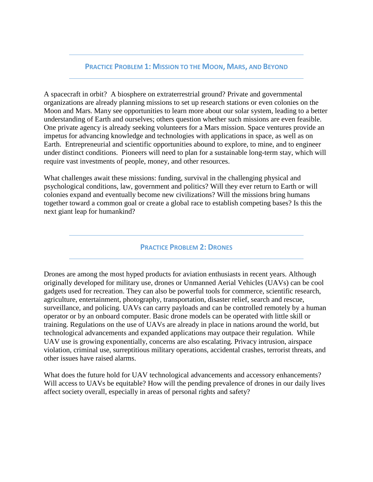#### **PRACTICE PROBLEM 1: MISSION TO THE MOON, MARS, AND BEYOND**

A spacecraft in orbit? A biosphere on extraterrestrial ground? Private and governmental organizations are already planning missions to set up research stations or even colonies on the Moon and Mars. Many see opportunities to learn more about our solar system, leading to a better understanding of Earth and ourselves; others question whether such missions are even feasible. One private agency is already seeking volunteers for a Mars mission. Space ventures provide an impetus for advancing knowledge and technologies with applications in space, as well as on Earth. Entrepreneurial and scientific opportunities abound to explore, to mine, and to engineer under distinct conditions. Pioneers will need to plan for a sustainable long-term stay, which will require vast investments of people, money, and other resources.

What challenges await these missions: funding, survival in the challenging physical and psychological conditions, law, government and politics? Will they ever return to Earth or will colonies expand and eventually become new civilizations? Will the missions bring humans together toward a common goal or create a global race to establish competing bases? Is this the next giant leap for humankind?

### **PRACTICE PROBLEM 2: DRONES**

Drones are among the most hyped products for aviation enthusiasts in recent years. Although originally developed for military use, drones or Unmanned Aerial Vehicles (UAVs) can be cool gadgets used for recreation. They can also be powerful tools for commerce, scientific research, agriculture, entertainment, photography, transportation, disaster relief, search and rescue, surveillance, and policing. UAVs can carry payloads and can be controlled remotely by a human operator or by an onboard computer. Basic drone models can be operated with little skill or training. Regulations on the use of UAVs are already in place in nations around the world, but technological advancements and expanded applications may outpace their regulation. While UAV use is growing exponentially, concerns are also escalating. Privacy intrusion, airspace violation, criminal use, surreptitious military operations, accidental crashes, terrorist threats, and other issues have raised alarms.

What does the future hold for UAV technological advancements and accessory enhancements? Will access to UAVs be equitable? How will the pending prevalence of drones in our daily lives affect society overall, especially in areas of personal rights and safety?